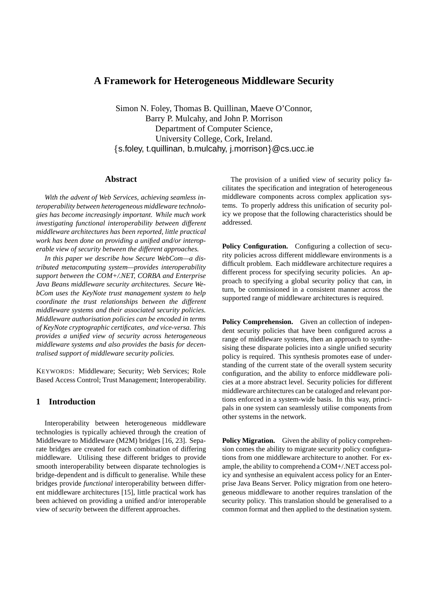# **A Framework for Heterogeneous Middleware Security**

Simon N. Foley, Thomas B. Quillinan, Maeve O'Connor, Barry P. Mulcahy, and John P. Morrison Department of Computer Science, University College, Cork, Ireland.  $\{s.foley, t.quillian, b.mulcahy, j.morrison\} @cs.ucc.ie$ 

# **Abstract**

*With the advent of Web Services, achieving seamless interoperability between heterogeneous middleware technologies has become increasingly important. While much work investigating functional interoperability between different middleware architectures has been reported, little practical work has been done on providing a unified and/or interoperable view of security between the different approaches.*

*In this paper we describe how Secure WebCom—a distributed metacomputing system—provides interoperability support between the COM+/.NET, CORBA and Enterprise Java Beans middleware security architectures. Secure WebCom uses the KeyNote trust management system to help coordinate the trust relationships between the different middleware systems and their associated security policies. Middleware authorisation policies can be encoded in terms of KeyNote cryptographic certificates, and vice-versa. This provides a unified view of security across heterogeneous middleware systems and also provides the basis for decentralised support of middleware security policies.*

KEYWORDS: Middleware; Security; Web Services; Role Based Access Control; Trust Management; Interoperability.

# **1 Introduction**

Interoperability between heterogeneous middleware technologies is typically achieved through the creation of Middleware to Middleware (M2M) bridges [16, 23]. Separate bridges are created for each combination of differing middleware. Utilising these different bridges to provide smooth interoperability between disparate technologies is bridge-dependent and is difficult to generalise. While these bridges provide *functional* interoperability between different middleware architectures [15], little practical work has been achieved on providing a unified and/or interoperable view of *security* between the different approaches.

The provision of a unified view of security policy facilitates the specification and integration of heterogeneous middleware components across complex application systems. To properly address this unification of security policy we propose that the following characteristics should be addressed.

**Policy Configuration.** Configuring a collection of security policies across different middleware environments is a difficult problem. Each middleware architecture requires a different process for specifying security policies. An approach to specifying a global security policy that can, in turn, be commissioned in a consistent manner across the supported range of middleware architectures is required.

**Policy Comprehension.** Given an collection of independent security policies that have been configured across a range of middleware systems, then an approach to synthesising these disparate policies into a single unified security policy is required. This synthesis promotes ease of understanding of the current state of the overall system security configuration, and the ability to enforce middleware policies at a more abstract level. Security policies for different middleware architectures can be cataloged and relevant portions enforced in a system-wide basis. In this way, principals in one system can seamlessly utilise components from other systems in the network.

**Policy Migration.** Given the ability of policy comprehension comes the ability to migrate security policy configurations from one middleware architecture to another. For example, the ability to comprehend a COM+/.NET access policy and synthesise an equivalent access policy for an Enterprise Java Beans Server. Policy migration from one heterogeneous middleware to another requires translation of the security policy. This translation should be generalised to a common format and then applied to the destination system.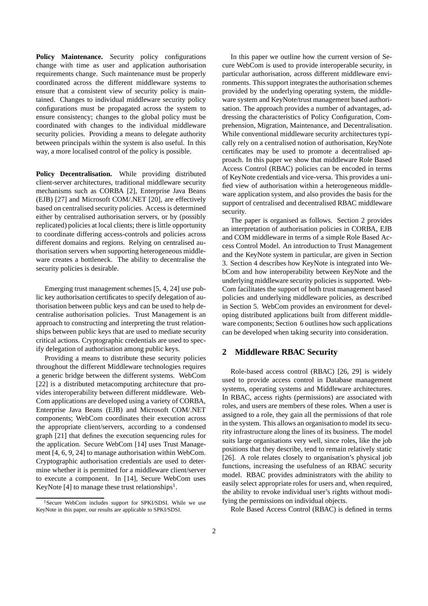**Policy Maintenance.** Security policy configurations change with time as user and application authorisation requirements change. Such maintenance must be properly coordinated across the different middleware systems to ensure that a consistent view of security policy is maintained. Changes to individual middleware security policy configurations must be propagated across the system to ensure consistency; changes to the global policy must be coordinated with changes to the individual middleware security policies. Providing a means to delegate authority between principals within the system is also useful. In this way, a more localised control of the policy is possible.

**Policy Decentralisation.** While providing distributed client-server architectures, traditional middleware security mechanisms such as CORBA [2], Enterprise Java Beans (EJB) [27] and Microsoft COM/.NET [20], are effectively based on centralised security policies. Access is determined either by centralised authorisation servers, or by (possibly replicated) policies at local clients; there is little opportunity to coordinate differing access-controls and policies across different domains and regions. Relying on centralised authorisation servers when supporting heterogeneous middleware creates a bottleneck. The ability to decentralise the security policies is desirable.

Emerging trust management schemes [5, 4, 24] use public key authorisation certificates to specify delegation of authorisation between public keys and can be used to help decentralise authorisation policies. Trust Management is an approach to constructing and interpreting the trust relationships between public keys that are used to mediate security critical actions. Cryptographic credentials are used to specify delegation of authorisation among public keys.

Providing a means to distribute these security policies throughout the different Middleware technologies requires a generic bridge between the different systems. WebCom [22] is a distributed metacomputing architecture that provides interoperability between different middleware. Web-Com applications are developed using a variety of CORBA, Enterprise Java Beans (EJB) and Microsoft COM/.NET components; WebCom coordinates their execution across the appropriate client/servers, according to a condensed graph [21] that defines the execution sequencing rules for the application. Secure WebCom [14] uses Trust Management [4, 6, 9, 24] to manage authorisation within WebCom. Cryptographic authorisation credentials are used to determine whether it is permitted for a middleware client/server to execute a component. In [14], Secure WebCom uses KeyNote [4] to manage these trust relationships<sup>1</sup>.

In this paper we outline how the current version of Secure WebCom is used to provide interoperable security, in particular authorisation, across different middleware environments. This support integrates the authorisation schemes provided by the underlying operating system, the middleware system and KeyNote/trust management based authorisation. The approach provides a number of advantages, addressing the characteristics of Policy Configuration, Comprehension, Migration, Maintenance, and Decentralisation. While conventional middleware security architectures typically rely on a centralised notion of authorisation, KeyNote certificates may be used to promote a decentralised approach. In this paper we show that middleware Role Based Access Control (RBAC) policies can be encoded in terms of KeyNote credentials and vice-versa. This provides a unified view of authorisation within a heterogeneous middleware application system, and also provides the basis for the support of centralised and decentralised RBAC middleware security.

The paper is organised as follows. Section 2 provides an interpretation of authorisation policies in CORBA, EJB and COM middleware in terms of a simple Role Based Access Control Model. An introduction to Trust Management and the KeyNote system in particular, are given in Section 3. Section 4 describes how KeyNote is integrated into WebCom and how interoperability between KeyNote and the underlying middleware security policies is supported. Web-Com facilitates the support of both trust management based policies and underlying middleware policies, as described in Section 5. WebCom provides an environment for developing distributed applications built from different middleware components; Section 6 outlines how such applications can be developed when taking security into consideration.

### **2 Middleware RBAC Security**

Role-based access control (RBAC) [26, 29] is widely used to provide access control in Database management systems, operating systems and Middleware architectures. In RBAC, access rights (permissions) are associated with roles, and users are members of these roles. When a user is assigned to a role, they gain all the permissions of that role in the system. This allows an organisation to model its security infrastructure along the lines of its business. The model suits large organisations very well, since roles, like the job positions that they describe, tend to remain relatively static [26]. A role relates closely to organisation's physical job functions, increasing the usefulness of an RBAC security model. RBAC provides administrators with the ability to easily select appropriate roles for users and, when required, the ability to revoke individual user's rights without modifying the permissions on individual objects.

Role Based Access Control (RBAC) is defined in terms

<sup>&</sup>lt;sup>1</sup>Secure WebCom includes support for SPKI/SDSI. While we use KeyNote in this paper, our results are applicable to SPKI/SDSI.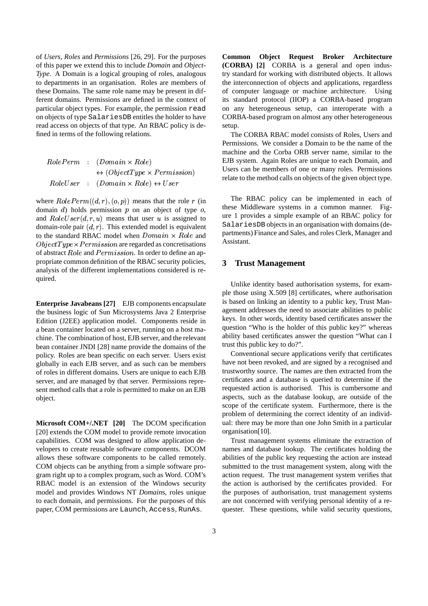of *Users*, *Roles* and *Permissions* [26, 29]. For the purposes of this paper we extend this to include *Domain* and *Object-Type*. A Domain is a logical grouping of roles, analogous to departments in an organisation. Roles are members of these Domains. The same role name may be present in different domains. Permissions are defined in the context of particular object types. For example, the permission read on objects of type SalariesDB entitles the holder to have read access on objects of that type. An RBAC policy is defined in terms of the following relations.

|  | $RolePerm$ : $(Domain \times Role)$                                |
|--|--------------------------------------------------------------------|
|  | $\leftrightarrow$ ( <i>ObjectType</i> $\times$ <i>Permission</i> ) |
|  | $RoleUser$ : $(Domain \times Role) \leftrightarrow User$           |

where  $RolePerm((d, r), (o, p))$  means that the role r (in domain d) holds permission p on an object of type  $o$ , then and  $RoleUser(d, r, u)$  means that user u is assigned to domain-role pair  $(d, r)$ . This extended model is equivalent to the standard RBAC model when  $Domain \times Role$  and  $ObjectType \times Permission$  are regarded as concretisations of abstract Role and Permission. In order to define an appropriate common definition of the RBAC security policies, analysis of the different implementations considered is required.

**Enterprise Javabeans [27]** EJB components encapsulate the business logic of Sun Microsystems Java 2 Enterprise Edition (J2EE) application model. Components reside in a bean container located on a server, running on a host machine. The combination of host, EJB server, and the relevant bean container JNDI [28] name provide the domains of the policy. Roles are bean specific on each server. Users exist globally in each EJB server, and as such can be members of roles in different domains. Users are unique to each EJB server, and are managed by that server. Permissions represent method calls that a role is permitted to make on an EJB object.

**Microsoft COM+/.NET [20]** The DCOM specification [20] extends the COM model to provide remote invocation capabilities. COM was designed to allow application developers to create reusable software components. DCOM allows these software components to be called remotely. COM objects can be anything from a simple software program right up to a complex program, such as Word. COM's RBAC model is an extension of the Windows security model and provides Windows NT *Domain*s, roles unique to each domain, and permissions. For the purposes of this paper, COM permissions are Launch, Access, RunAs.

**Common Object Request Broker Architecture (CORBA) [2]** CORBA is a general and open industry standard for working with distributed objects. It allows the interconnection of objects and applications, regardless of computer language or machine architecture. Using its standard protocol (IIOP) a CORBA-based program on any heterogeneous setup, can interoperate with a CORBA-based program on almost any other heterogeneous setup.

The CORBA RBAC model consists of Roles, Users and Permissions. We consider a Domain to be the name of the machine and the Corba ORB server name, similar to the EJB system. Again Roles are unique to each Domain, and Users can be members of one or many roles. Permissions relate to the method calls on objects of the given object type.

The RBAC policy can be implemented in each of these Middleware systems in a common manner. Figure 1 provides a simple example of an RBAC policy for SalariesDB objects in an organisation with domains (departments) Finance and Sales, and roles Clerk, Manager and Assistant.

# **3 Trust Management**

Unlike identity based authorisation systems, for example those using X.509 [8] certificates, where authorisation is based on linking an identity to a public key, Trust Management addresses the need to associate abilities to public keys. In other words, identity based certificates answer the question "Who is the holder of this public key?" whereas ability based certificates answer the question "What can I trust this public key to do?".

Conventional secure applications verify that certificates have not been revoked, and are signed by a recognised and trustworthy source. The names are then extracted from the certificates and a database is queried to determine if the requested action is authorised. This is cumbersome and aspects, such as the database lookup, are outside of the scope of the certificate system. Furthermore, there is the problem of determining the correct identity of an individual: there may be more than one John Smith in a particular organisation[10].

Trust management systems eliminate the extraction of names and database lookup. The certificates holding the abilities of the public key requesting the action are instead submitted to the trust management system, along with the action request. The trust management system verifies that the action is authorised by the certificates provided. For the purposes of authorisation, trust management systems are not concerned with verifying personal identity of a requester. These questions, while valid security questions,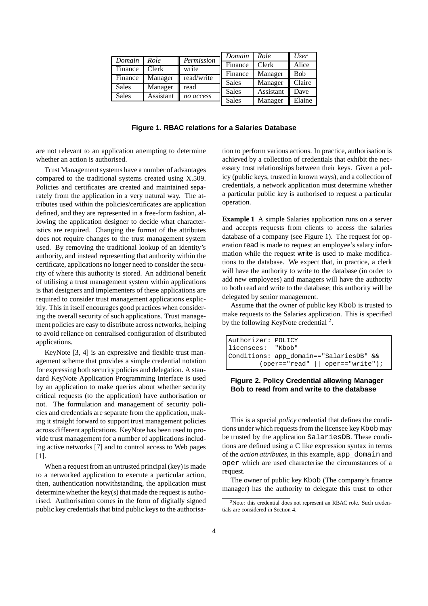|              |           |            | Domain       | Role      | User       |
|--------------|-----------|------------|--------------|-----------|------------|
| Domain       | Role      | Permission |              |           |            |
|              |           |            | Finance      | Clerk     | Alice      |
| Finance      | Clerk     | write      |              |           |            |
|              |           |            | Finance      | Manager   | <b>Bob</b> |
| Finance      | Manager   | read/write |              |           |            |
|              |           |            | <b>Sales</b> | Manager   | Claire     |
| <b>Sales</b> | Manager   | read       |              |           |            |
|              |           |            | <b>Sales</b> | Assistant | Dave       |
| <b>Sales</b> | Assistant | no access  |              |           |            |
|              |           |            | <b>Sales</b> | Manager   | Elaine     |
|              |           |            |              |           |            |

**Figure 1. RBAC relations for a Salaries Database**

are not relevant to an application attempting to determine whether an action is authorised.

Trust Management systems have a number of advantages compared to the traditional systems created using X.509. Policies and certificates are created and maintained separately from the application in a very natural way. The attributes used within the policies/certificates are application defined, and they are represented in a free-form fashion, allowing the application designer to decide what characteristics are required. Changing the format of the attributes does not require changes to the trust management system used. By removing the traditional lookup of an identity's authority, and instead representing that authority within the certificate, applications no longer need to consider the security of where this authority is stored. An additional benefit of utilising a trust management system within applications is that designers and implementers of these applications are required to consider trust management applications explicitly. This in itself encourages good practices when considering the overall security of such applications. Trust management policies are easy to distribute across networks, helping to avoid reliance on centralised configuration of distributed applications.

KeyNote [3, 4] is an expressive and flexible trust management scheme that provides a simple credential notation for expressing both security policies and delegation. A standard KeyNote Application Programming Interface is used by an application to make queries about whether security critical requests (to the application) have authorisation or not. The formulation and management of security policies and credentials are separate from the application, making it straight forward to support trust management policies across different applications. KeyNote has been used to provide trust management for a number of applications including active networks [7] and to control access to Web pages [1].

When a request from an untrusted principal (key) is made to a networked application to execute a particular action, then, authentication notwithstanding, the application must determine whether the key(s) that made the request is authorised. Authorisation comes in the form of digitally signed public key credentials that bind public keys to the authorisation to perform various actions. In practice, authorisation is achieved by a collection of credentials that exhibit the necessary trust relationships between their keys. Given a policy (public keys, trusted in known ways), and a collection of credentials, a network application must determine whether a particular public key is authorised to request a particular operation.

**Example 1** A simple Salaries application runs on a server and accepts requests from clients to access the salaries database of a company (see Figure 1). The request for operation read is made to request an employee's salary information while the request write is used to make modifications to the database. We expect that, in practice, a clerk will have the authority to write to the database (in order to add new employees) and managers will have the authority to both read and write to the database; this authority will be delegated by senior management.

Assume that the owner of public key Kbob is trusted to make requests to the Salaries application. This is specified by the following KeyNote credential<sup>2</sup>.

| Authorizer: POLICY                                   |                                         |  |  |  |  |
|------------------------------------------------------|-----------------------------------------|--|--|--|--|
| llicensees: "Kbob"                                   |                                         |  |  |  |  |
|                                                      | Conditions: app_domain=="SalariesDB" && |  |  |  |  |
| $(\text{oper} == "read"    \text{oper} == "write");$ |                                         |  |  |  |  |

## **Figure 2. Policy Credential allowing Manager Bob to read from and write to the database**

This is a special *policy* credential that defines the conditions under which requests from the licensee key Kbob may be trusted by the application SalariesDB. These conditions are defined using a C like expression syntax in terms of the *action attributes*, in this example, app\_domain and oper which are used characterise the circumstances of a request.

The owner of public key Kbob (The company's finance manager) has the authority to delegate this trust to other

 $2$ Note: this credential does not represent an RBAC role. Such credentials are considered in Section 4.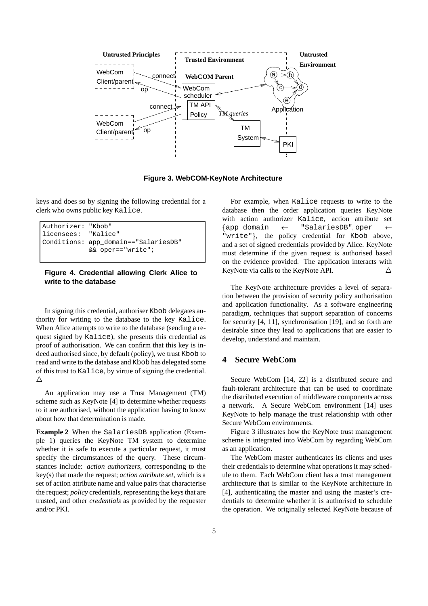

**Figure 3. WebCOM-KeyNote Architecture**

keys and does so by signing the following credential for a clerk who owns public key Kalice.

```
Authorizer: "Kbob"
licensees: "Kalice"
Conditions: app_domain=="SalariesDB"
            && oper=="write";
```
# **Figure 4. Credential allowing Clerk Alice to write to the database**

In signing this credential, authoriser Kbob delegates authority for writing to the database to the key Kalice. When Alice attempts to write to the database (sending a request signed by Kalice), she presents this credential as proof of authorisation. We can confirm that this key is indeed authorised since, by default (policy), we trust Kbob to read and write to the database and Kbob has delegated some of this trust to Kalice, by virtue of signing the credential.  $\wedge$ 

An application may use a Trust Management (TM) scheme such as KeyNote [4] to determine whether requests to it are authorised, without the application having to know about how that determination is made.

**Example 2** When the SalariesDB application (Example 1) queries the KeyNote TM system to determine whether it is safe to execute a particular request, it must specify the circumstances of the query. These circumstances include: *action authorizers*, corresponding to the key(s) that made the request; *action attribute set*, which is a set of action attribute name and value pairs that characterise the request; *policy* credentials, representing the keys that are trusted, and other *credentials* as provided by the requester and/or PKI.

For example, when Kalice requests to write to the database then the order application queries KeyNote with action authorizer Kalice, action attribute set app\_domain -"SalariesDB", oper "write" }, the policy credential for Kbob above, and a set of signed credentials provided by Alice. KeyNote must determine if the given request is authorised based on the evidence provided. The application interacts with KeyNote via calls to the KeyNote API.  $\triangle$ 

The KeyNote architecture provides a level of separation between the provision of security policy authorisation and application functionality. As a software engineering paradigm, techniques that support separation of concerns for security [4, 11], synchronisation [19], and so forth are desirable since they lead to applications that are easier to develop, understand and maintain.

# **4 Secure WebCom**

Secure WebCom [14, 22] is a distributed secure and fault-tolerant architecture that can be used to coordinate the distributed execution of middleware components across a network. A Secure WebCom environment [14] uses KeyNote to help manage the trust relationship with other Secure WebCom environments.

Figure 3 illustrates how the KeyNote trust management scheme is integrated into WebCom by regarding WebCom as an application.

The WebCom master authenticates its clients and uses their credentials to determine what operations it may schedule to them. Each WebCom client has a trust management architecture that is similar to the KeyNote architecture in [4], authenticating the master and using the master's credentials to determine whether it is authorised to schedule the operation. We originally selected KeyNote because of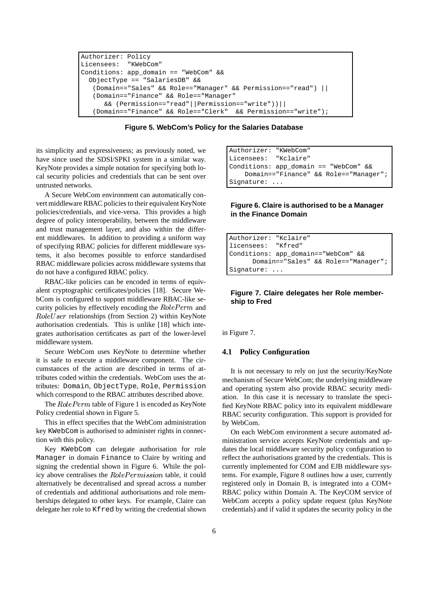```
Authorizer: Policy
Licensees: "KWebCom"
Conditions: app_domain == "WebCom" &&
 ObjectType == "SalariesDB" &&
   (Domain=="Sales" && Role=="Manager" && Permission=="read") ||
   (Domain=="Finance" && Role=="Manager"
     && (Permission=="read"||Permission=="write"))||
   (Domain=="Finance" && Role=="Clerk" && Permission=="write");
```
**Figure 5. WebCom's Policy for the Salaries Database**

its simplicity and expressiveness; as previously noted, we have since used the SDSI/SPKI system in a similar way. KeyNote provides a simple notation for specifying both local security policies and credentials that can be sent over untrusted networks.

A Secure WebCom environment can automatically convert middleware RBAC policies to their equivalent KeyNote policies/credentials, and vice-versa. This provides a high degree of policy interoperability, between the middleware and trust management layer, and also within the different middlewares. In addition to providing a uniform way of specifying RBAC policies for different middleware systems, it also becomes possible to enforce standardised RBAC middleware policies across middleware systems that do not have a configured RBAC policy.

RBAC-like policies can be encoded in terms of equivalent cryptographic certificates/policies [18]. Secure WebCom is configured to support middleware RBAC-like security policies by effectively encoding the  $RolePerm$  and RoleUser relationships (from Section 2) within KeyNote authorisation credentials. This is unlike [18] which integrates authorisation certificates as part of the lower-level middleware system.

Secure WebCom uses KeyNote to determine whether it is safe to execute a middleware component. The circumstances of the action are described in terms of attributes coded within the credentials. WebCom uses the attributes: Domain, ObjectType, Role, Permission which correspond to the RBAC attributes described above.

The  $RolePerm$  table of Figure 1 is encoded as KeyNote Policy credential shown in Figure 5.

This in effect specifies that the WebCom administration key KWebCom is authorised to administer rights in connection with this policy.

Key KWebCom can delegate authorisation for role Manager in domain Finance to Claire by writing and signing the credential shown in Figure 6. While the policy above centralises the  $RolePermission$  table, it could alternatively be decentralised and spread across a number of credentials and additional authorisations and role memberships delegated to other keys. For example, Claire can delegate her role to Kfred by writing the credential shown

```
Authorizer: "KWebCom"
Licensees: "Kclaire"
Conditions: app_domain == "WebCom" &&
   Domain=="Finance" && Role=="Manager";
Signature: ...
```
# **Figure 6. Claire is authorised to be a Manager in the Finance Domain**

```
Authorizer: "Kclaire"
licensees: "Kfred"
Conditions: app_domain=="WebCom" &&
      Domain=="Sales" && Role=="Manager";
Signature: ...
```
### **Figure 7. Claire delegates her Role membership to Fred**

in Figure 7.

### **4.1 Policy Configuration**

It is not necessary to rely on just the security/KeyNote mechanism of Secure WebCom; the underlying middleware and operating system also provide RBAC security mediation. In this case it is necessary to translate the specified KeyNote RBAC policy into its equivalent middleware RBAC security configuration. This support is provided for by WebCom.

On each WebCom environment a secure automated administration service accepts KeyNote credentials and updates the local middleware security policy configuration to reflect the authorisations granted by the credentials. This is currently implemented for COM and EJB middleware systems. For example, Figure 8 outlines how a user, currently registered only in Domain B, is integrated into a COM+ RBAC policy within Domain A. The KeyCOM service of WebCom accepts a policy update request (plus KeyNote credentials) and if valid it updates the security policy in the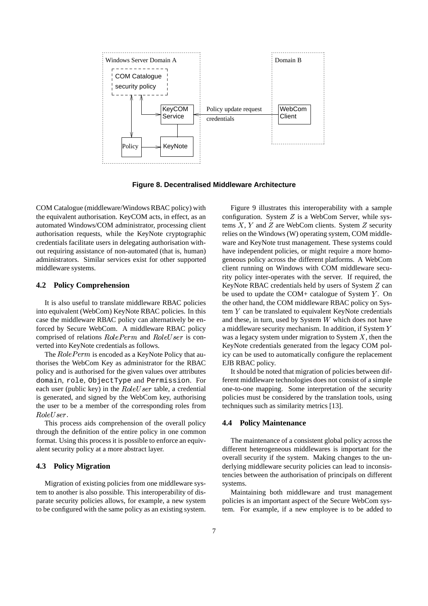

**Figure 8. Decentralised Middleware Architecture**

COM Catalogue (middleware/Windows RBAC policy) with the equivalent authorisation. KeyCOM acts, in effect, as an automated Windows/COM administrator, processing client authorisation requests, while the KeyNote cryptographic credentials facilitate users in delegating authorisation without requiring assistance of non-automated (that is, human) administrators. Similar services exist for other supported middleware systems.

#### **4.2 Policy Comprehension**

It is also useful to translate middleware RBAC policies into equivalent (WebCom) KeyNote RBAC policies. In this case the middleware RBAC policy can alternatively be enforced by Secure WebCom. A middleware RBAC policy comprised of relations  $RolePerm$  and  $RoleUser$  is converted into KeyNote credentials as follows.

The  $RolePerm$  is encoded as a KeyNote Policy that authorises the WebCom Key as administrator for the RBAC policy and is authorised for the given values over attributes domain, role, ObjectType and Permission. For each user (public key) in the  $RoleUser$  table, a credential is generated, and signed by the WebCom key, authorising the user to be a member of the corresponding roles from  $Role User.$ 

This process aids comprehension of the overall policy through the definition of the entire policy in one common format. Using this process it is possible to enforce an equivalent security policy at a more abstract layer.

#### **4.3 Policy Migration**

Migration of existing policies from one middleware system to another is also possible. This interoperability of disparate security policies allows, for example, a new system to be configured with the same policy as an existing system.

Figure 9 illustrates this interoperability with a sample configuration. System  $Z$  is a WebCom Server, while systems  $X, Y$  and  $Z$  are WebCom clients. System  $Z$  security relies on the Windows (W) operating system, COM middleware and KeyNote trust management. These systems could have independent policies, or might require a more homogeneous policy across the different platforms. A WebCom client running on Windows with COM middleware security policy inter-operates with the server. If required, the KeyNote RBAC credentials held by users of System  $Z$  can be used to update the COM $+$  catalogue of System  $Y$ . On the other hand, the COM middleware RBAC policy on System  $Y$  can be translated to equivalent KeyNote credentials and these, in turn, used by System  $W$  which does not have a middleware security mechanism. In addition, if System  $Y$ was a legacy system under migration to System  $X$ , then the KeyNote credentials generated from the legacy COM policy can be used to automatically configure the replacement EJB RBAC policy.

It should be noted that migration of policies between different middleware technologies does not consist of a simple one-to-one mapping. Some interpretation of the security policies must be considered by the translation tools, using techniques such as similarity metrics [13].

### **4.4 Policy Maintenance**

The maintenance of a consistent global policy across the different heterogeneous middlewares is important for the overall security if the system. Making changes to the underlying middleware security policies can lead to inconsistencies between the authorisation of principals on different systems.

Maintaining both middleware and trust management policies is an important aspect of the Secure WebCom system. For example, if a new employee is to be added to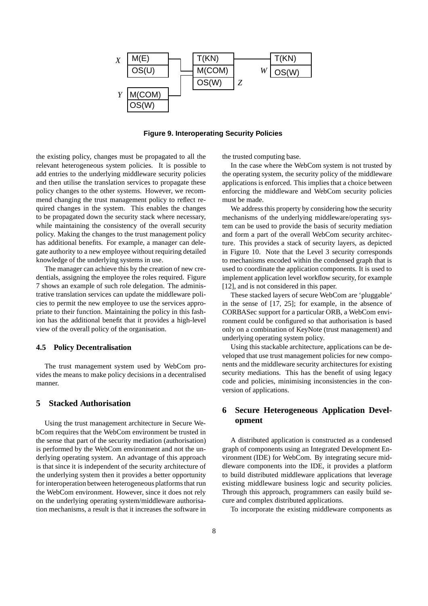

**Figure 9. Interoperating Security Policies**

the existing policy, changes must be propagated to all the relevant heterogeneous system policies. It is possible to add entries to the underlying middleware security policies and then utilise the translation services to propagate these policy changes to the other systems. However, we recommend changing the trust management policy to reflect required changes in the system. This enables the changes to be propagated down the security stack where necessary, while maintaining the consistency of the overall security policy. Making the changes to the trust management policy has additional benefits. For example, a manager can delegate authority to a new employee without requiring detailed knowledge of the underlying systems in use.

The manager can achieve this by the creation of new credentials, assigning the employee the roles required. Figure 7 shows an example of such role delegation. The administrative translation services can update the middleware policies to permit the new employee to use the services appropriate to their function. Maintaining the policy in this fashion has the additional benefit that it provides a high-level view of the overall policy of the organisation.

#### **4.5 Policy Decentralisation**

The trust management system used by WebCom provides the means to make policy decisions in a decentralised manner.

### **5 Stacked Authorisation**

Using the trust management architecture in Secure WebCom requires that the WebCom environment be trusted in the sense that part of the security mediation (authorisation) is performed by the WebCom environment and not the underlying operating system. An advantage of this approach is that since it is independent of the security architecture of the underlying system then it provides a better opportunity for interoperation between heterogeneous platforms that run the WebCom environment. However, since it does not rely on the underlying operating system/middleware authorisation mechanisms, a result is that it increases the software in the trusted computing base.

In the case where the WebCom system is not trusted by the operating system, the security policy of the middleware applications is enforced. This implies that a choice between enforcing the middleware and WebCom security policies must be made.

We address this property by considering how the security mechanisms of the underlying middleware/operating system can be used to provide the basis of security mediation and form a part of the overall WebCom security architecture. This provides a stack of security layers, as depicted in Figure 10. Note that the Level 3 security corresponds to mechanisms encoded within the condensed graph that is used to coordinate the application components. It is used to implement application level workflow security, for example [12], and is not considered in this paper.

These stacked layers of secure WebCom are 'pluggable' in the sense of [17, 25]; for example, in the absence of CORBASec support for a particular ORB, a WebCom environment could be configured so that authorisation is based only on a combination of KeyNote (trust management) and underlying operating system policy.

Using this stackable architecture, applications can be developed that use trust management policies for new components and the middleware security architectures for existing security mediations. This has the benefit of using legacy code and policies, minimising inconsistencies in the conversion of applications.

# **6 Secure Heterogeneous Application Development**

A distributed application is constructed as a condensed graph of components using an Integrated Development Environment (IDE) for WebCom. By integrating secure middleware components into the IDE, it provides a platform to build distributed middleware applications that leverage existing middleware business logic and security policies. Through this approach, programmers can easily build secure and complex distributed applications.

To incorporate the existing middleware components as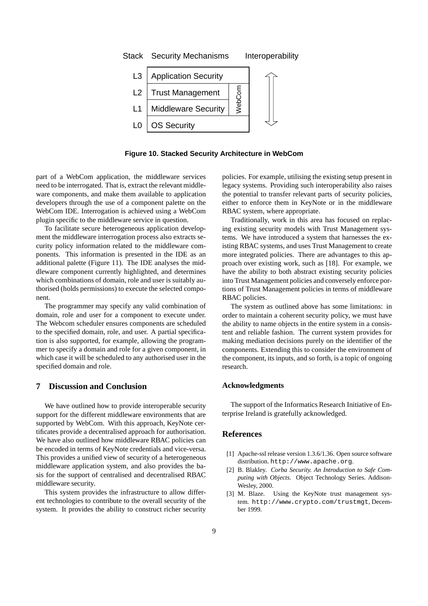

**Figure 10. Stacked Security Architecture in WebCom**

part of a WebCom application, the middleware services need to be interrogated. That is, extract the relevant middleware components, and make them available to application developers through the use of a component palette on the WebCom IDE. Interrogation is achieved using a WebCom plugin specific to the middleware service in question.

To facilitate secure heterogeneous application development the middleware interrogation process also extracts security policy information related to the middleware components. This information is presented in the IDE as an additional palette (Figure 11). The IDE analyses the middleware component currently highlighted, and determines which combinations of domain, role and user is suitably authorised (holds permissions) to execute the selected component.

The programmer may specify any valid combination of domain, role and user for a component to execute under. The Webcom scheduler ensures components are scheduled to the specified domain, role, and user. A partial specification is also supported, for example, allowing the programmer to specify a domain and role for a given component, in which case it will be scheduled to any authorised user in the specified domain and role.

# **7 Discussion and Conclusion**

We have outlined how to provide interoperable security support for the different middleware environments that are supported by WebCom. With this approach, KeyNote certificates provide a decentralised approach for authorisation. We have also outlined how middleware RBAC policies can be encoded in terms of KeyNote credentials and vice-versa. This provides a unified view of security of a heterogeneous middleware application system, and also provides the basis for the support of centralised and decentralised RBAC middleware security.

This system provides the infrastructure to allow different technologies to contribute to the overall security of the system. It provides the ability to construct richer security policies. For example, utilising the existing setup present in legacy systems. Providing such interoperability also raises the potential to transfer relevant parts of security policies, either to enforce them in KeyNote or in the middleware RBAC system, where appropriate.

Traditionally, work in this area has focused on replacing existing security models with Trust Management systems. We have introduced a system that harnesses the existing RBAC systems, and uses Trust Management to create more integrated policies. There are advantages to this approach over existing work, such as [18]. For example, we have the ability to both abstract existing security policies into Trust Management policies and conversely enforce portions of Trust Management policies in terms of middleware RBAC policies.

The system as outlined above has some limitations: in order to maintain a coherent security policy, we must have the ability to name objects in the entire system in a consistent and reliable fashion. The current system provides for making mediation decisions purely on the identifier of the components. Extending this to consider the environment of the component, its inputs, and so forth, is a topic of ongoing research.

### **Acknowledgments**

The support of the Informatics Research Initiative of Enterprise Ireland is gratefully acknowledged.

### **References**

- [1] Apache-ssl release version 1.3.6/1.36. Open source software distribution. http://www.apache.org.
- [2] B. Blakley. *Corba Security. An Introduction to Safe Computing with Objects.* Object Technology Series. Addison-Wesley, 2000.
- [3] M. Blaze. Using the KeyNote trust management system. http://www.crypto.com/trustmgt, December 1999.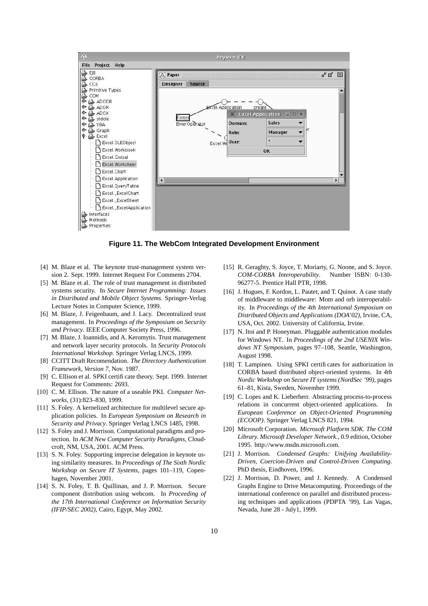

**Figure 11. The WebCom Integrated Development Environment**

- [4] M. Blaze et al. The keynote trust-management system version 2. Sept. 1999. Internet Request For Comments 2704.
- [5] M. Blaze et al. The role of trust management in distributed systems security. In *Secure Internet Programming: Issues in Distributed and Mobile Object Systems*. Springer-Verlag Lecture Notes in Computer Science, 1999.
- [6] M. Blaze, J. Feigenbaum, and J. Lacy. Decentralized trust management. In *Proceedings of the Symposium on Security and Privacy*. IEEE Computer Society Press, 1996.
- [7] M. Blaze, J. Ioannidis, and A. Keromytis. Trust management and network layer security protocols. In *Security Protocols International Workshop*. Springer Verlag LNCS, 1999.
- [8] CCITT Draft Recomendation. *The Directory Authentication Framework, Version 7*, Nov. 1987.
- [9] C. Ellison et al. SPKI certificate theory. Sept. 1999. Internet Request for Comments: 2693.
- [10] C. M. Ellison. The nature of a useable PKI. *Computer Networks*, (31):823–830, 1999.
- [11] S. Foley. A kernelized architecture for multilevel secure application policies. In *European Symposium on Research in Security and Privacy*. Springer Verlag LNCS 1485, 1998.
- [12] S. Foley and J. Morrison. Computational paradigms and protection. In *ACM New Computer Security Paradigms*, Cloudcroft, NM, USA, 2001. ACM Press.
- [13] S. N. Foley. Supporting imprecise delegation in keynote using similarity measures. In *Proceedings of The Sixth Nordic Workshop on Secure IT Systems*, pages 101–119, Copenhagen, November 2001.
- [14] S. N. Foley, T. B. Quillinan, and J. P. Morrison. Secure component distribution using webcom. In *Proceeding of the 17th International Conference on Information Security (IFIP/SEC 2002)*, Cairo, Egypt, May 2002.
- [15] R. Geraghty, S. Joyce, T. Moriarty, G. Noone, and S. Joyce. *COM-CORBA Interoperability*. Number ISBN: 0-130- 96277-5. Prentice Hall PTR, 1998.
- [16] J. Hugues, F. Kordon, L. Pautet, and T. Quinot. A case study of middleware to middleware: Mom and orb interoperability. In *Proceedings of the 4th International Symposium on Distributed Objects and Applications (DOA'02)*, Irvine, CA, USA, Oct. 2002. University of California, Irvine.
- [17] N. Itoi and P. Honeyman. Pluggable authentication modules for Windows NT. In *Proceedings of the 2nd USENIX Windows NT Symposium*, pages 97–108, Seattle, Washington, August 1998.
- [18] T. Lampinen. Using SPKI certificates for authorization in CORBA based distributed object-oriented systems. In *4th Nordic Workshop on Secure IT systems (NordSec '99)*, pages 61–81, Kista, Sweden, November 1999.
- [19] C. Lopes and K. Lieberherr. Abstracting process-to-process relations in concurrent object-oriented applications. In *European Conference on Object-Oriented Programming (ECOOP)*. Springer Verlag LNCS 821, 1994.
- [20] Microsoft Corporation. *Microsoft Platform SDK. The COM Library. Microsoft Developer Network.*, 0.9 edition, October 1995. http://www.msdn.microsoft.com.
- [21] J. Morrison. *Condensed Graphs: Unifying Availability-Driven, Coercion-Driven and Control-Driven Computing*. PhD thesis, Eindhoven, 1996.
- [22] J. Morrison, D. Power, and J. Kennedy. A Condensed Graphs Engine to Drive Metacomputing. Proceedings of the international conference on parallel and distributed processing techniques and applications (PDPTA '99), Las Vagas, Nevada, June 28 - July1, 1999.